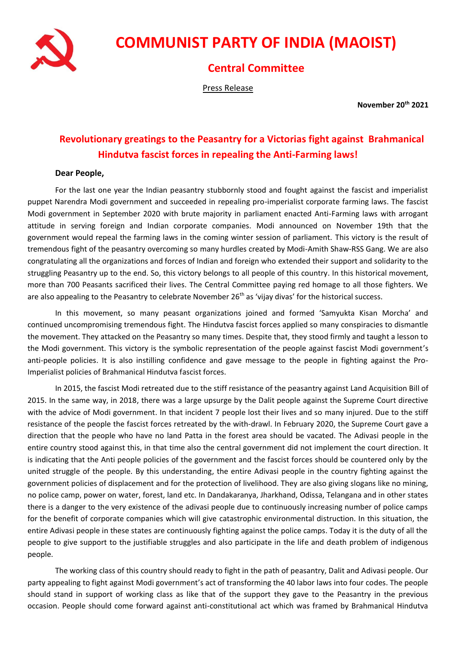

## **COMMUNIST PARTY OF INDIA (MAOIST)**

## **Central Committee**

Press Release

**November 20th 2021**

## **Revolutionary greatings to the Peasantry for a Victorias fight against Brahmanical Hindutva fascist forces in repealing the Anti-Farming laws!**

## **Dear People,**

For the last one year the Indian peasantry stubbornly stood and fought against the fascist and imperialist puppet Narendra Modi government and succeeded in repealing pro-imperialist corporate farming laws. The fascist Modi government in September 2020 with brute majority in parliament enacted Anti-Farming laws with arrogant attitude in serving foreign and Indian corporate companies. Modi announced on November 19th that the government would repeal the farming laws in the coming winter session of parliament. This victory is the result of tremendous fight of the peasantry overcoming so many hurdles created by Modi-Amith Shaw-RSS Gang. We are also congratulating all the organizations and forces of Indian and foreign who extended their support and solidarity to the struggling Peasantry up to the end. So, this victory belongs to all people of this country. In this historical movement, more than 700 Peasants sacrificed their lives. The Central Committee paying red homage to all those fighters. We are also appealing to the Peasantry to celebrate November  $26<sup>th</sup>$  as 'vijay divas' for the historical success.

In this movement, so many peasant organizations joined and formed 'Samyukta Kisan Morcha' and continued uncompromising tremendous fight. The Hindutva fascist forces applied so many conspiracies to dismantle the movement. They attacked on the Peasantry so many times. Despite that, they stood firmly and taught a lesson to the Modi government. This victory is the symbolic representation of the people against fascist Modi government's anti-people policies. It is also instilling confidence and gave message to the people in fighting against the Pro-Imperialist policies of Brahmanical Hindutva fascist forces.

In 2015, the fascist Modi retreated due to the stiff resistance of the peasantry against Land Acquisition Bill of 2015. In the same way, in 2018, there was a large upsurge by the Dalit people against the Supreme Court directive with the advice of Modi government. In that incident 7 people lost their lives and so many injured. Due to the stiff resistance of the people the fascist forces retreated by the with-drawl. In February 2020, the Supreme Court gave a direction that the people who have no land Patta in the forest area should be vacated. The Adivasi people in the entire country stood against this, in that time also the central government did not implement the court direction. It is indicating that the Anti people policies of the government and the fascist forces should be countered only by the united struggle of the people. By this understanding, the entire Adivasi people in the country fighting against the government policies of displacement and for the protection of livelihood. They are also giving slogans like no mining, no police camp, power on water, forest, land etc. In Dandakaranya, Jharkhand, Odissa, Telangana and in other states there is a danger to the very existence of the adivasi people due to continuously increasing number of police camps for the benefit of corporate companies which will give catastrophic environmental distruction. In this situation, the entire Adivasi people in these states are continuously fighting against the police camps. Today it is the duty of all the people to give support to the justifiable struggles and also participate in the life and death problem of indigenous people.

The working class of this country should ready to fight in the path of peasantry, Dalit and Adivasi people. Our party appealing to fight against Modi government's act of transforming the 40 labor laws into four codes. The people should stand in support of working class as like that of the support they gave to the Peasantry in the previous occasion. People should come forward against anti-constitutional act which was framed by Brahmanical Hindutva